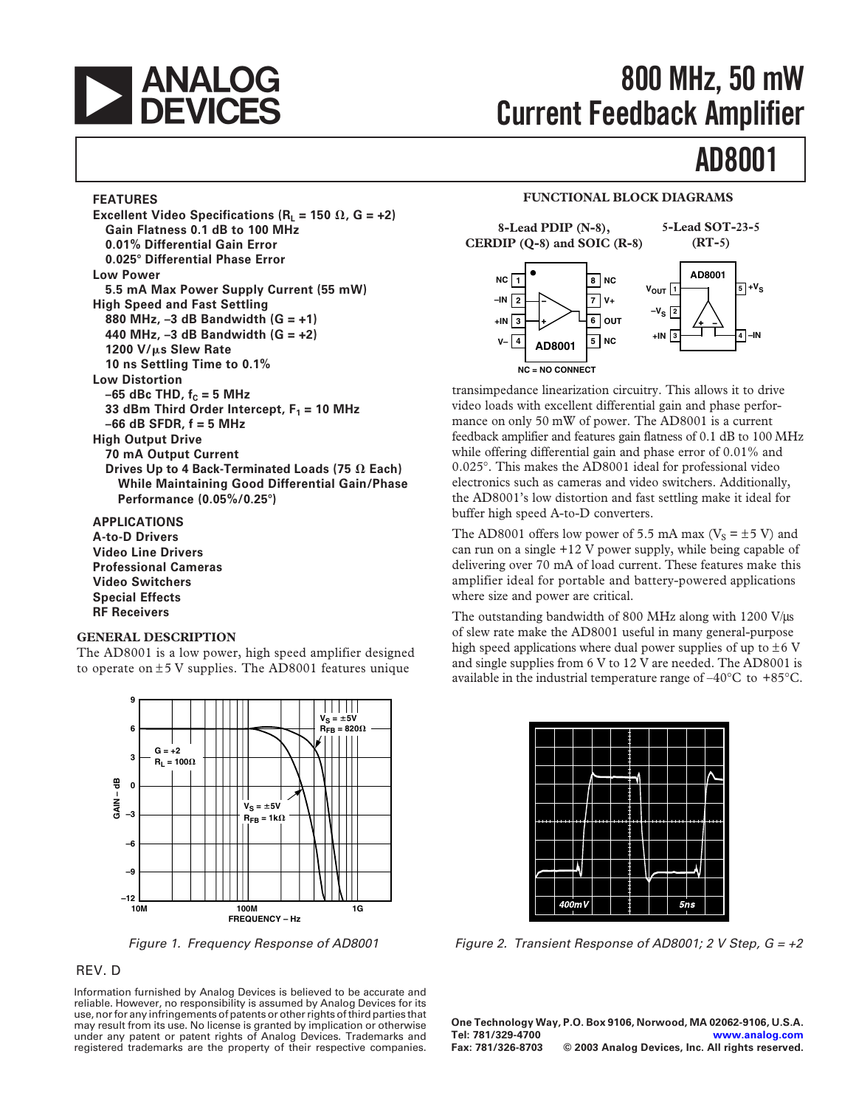

# **800 MHz, 50 mW Current Feedback Amplifier**

# **AD8001**

### **FEATURES**

**Excellent Video Specifications (** $R_L$  **= 150**  $\Omega$ **, G = +2) Gain Flatness 0.1 dB to 100 MHz 0.01% Differential Gain Error 0.025**- **Differential Phase Error Low Power 5.5 mA Max Power Supply Current (55 mW) High Speed and Fast Settling 880 MHz, –3 dB Bandwidth (G = +1) 440 MHz, –3 dB Bandwidth (G = +2) 1200 V/s Slew Rate 10 ns Settling Time to 0.1% Low Distortion**  $-65$  dBc THD,  $f<sub>C</sub> = 5$  MHz 33 dBm Third Order Intercept,  $F_1 = 10$  MHz **–66 dB SFDR, f = 5 MHz High Output Drive 70 mA Output Current Drives Up to 4 Back-Terminated Loads (75 Each) While Maintaining Good Differential Gain/Phase Performance (0.05%/0.25**-**) APPLICATIONS**

**A-to-D Drivers**

**Video Line Drivers Professional Cameras Video Switchers Special Effects RF Receivers**

## **GENERAL DESCRIPTION**

The AD8001 is a low power, high speed amplifier designed to operate on  $\pm$  5 V supplies. The AD8001 features unique



Figure 1. Frequency Response of AD8001

### REV. D

Information furnished by Analog Devices is believed to be accurate and reliable. However, no responsibility is assumed by Analog Devices for its use, nor for any infringements of patents or other rights of third parties that may result from its use. No license is granted by implication or otherwise under any patent or patent rights of Analog Devices. Trademarks and registered trademarks are the property of their respective companies.

## **FUNCTIONAL BLOCK DIAGRAMS**



transimpedance linearization circuitry. This allows it to drive video loads with excellent differential gain and phase performance on only 50 mW of power. The AD8001 is a current feedback amplifier and features gain flatness of 0.1 dB to 100 MHz while offering differential gain and phase error of 0.01% and 0.025°. This makes the AD8001 ideal for professional video electronics such as cameras and video switchers. Additionally, the AD8001's low distortion and fast settling make it ideal for buffer high speed A-to-D converters.

The AD8001 offers low power of 5.5 mA max ( $V_s = \pm 5$  V) and can run on a single +12 V power supply, while being capable of delivering over 70 mA of load current. These features make this amplifier ideal for portable and battery-powered applications where size and power are critical.

The outstanding bandwidth of 800 MHz along with 1200 V/ $\mu$ s of slew rate make the AD8001 useful in many general-purpose high speed applications where dual power supplies of up to  $\pm 6$  V and single supplies from 6 V to 12 V are needed. The AD8001 is available in the industrial temperature range of  $-40^{\circ}$ C to  $+85^{\circ}$ C.



Figure 2. Transient Response of AD8001; 2 V Step,  $G = +2$ 

**One Technology Way, P.O. Box 9106, Norwood, MA 02062-9106, U.S.A. Tel: 781/329-4700 [www.analog.com](http://www.analog.com) Fax: 781/326-8703 © 2003 Analog Devices, Inc. All rights reserved.**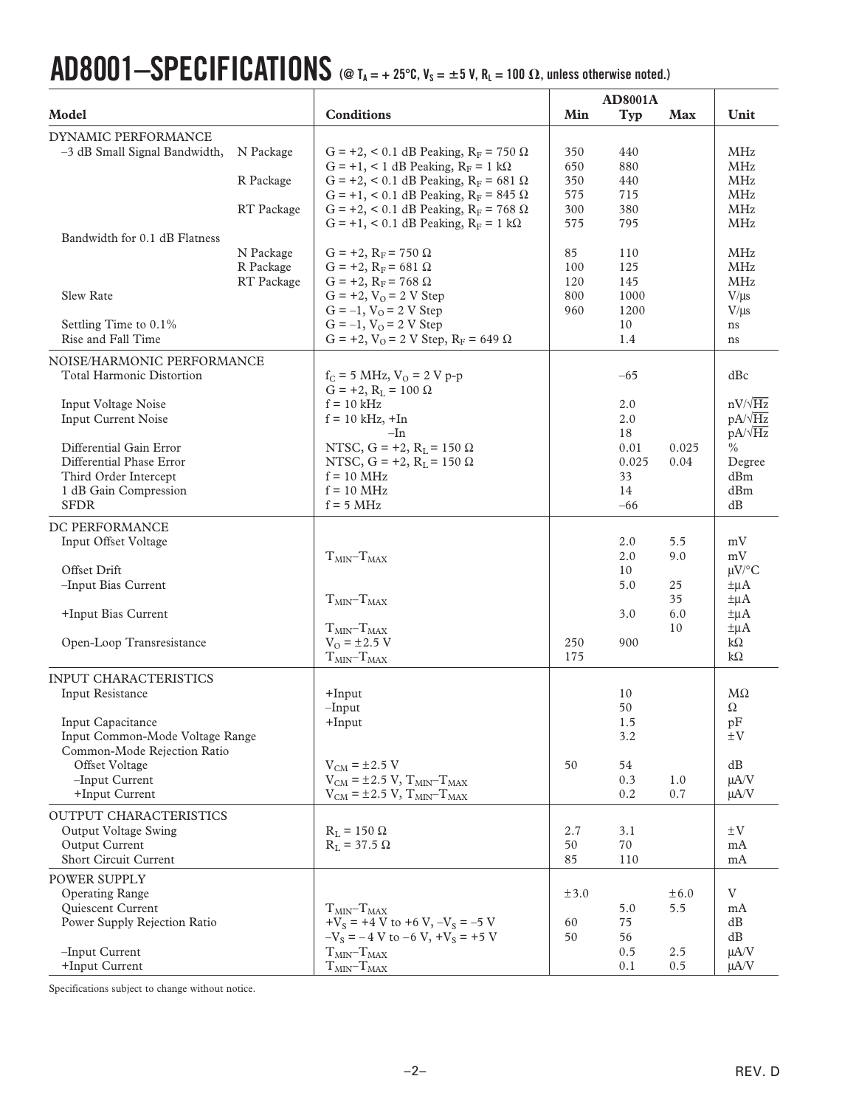# $\bf{AD8001-}$ **SPECIFICATIONS** (@ T<sub>A</sub> = + 25°C, V<sub>S</sub> = ±5 V, R<sub>L</sub> = 100  $\Omega$ , unless otherwise noted.)

| Model                                                                                                                                                                                                                                |                                      | <b>Conditions</b>                                                                                                                                                                                                                                                                                          | Min                                    | <b>Typ</b>                                                      | <b>Max</b>                          | Unit                                                                                                         |
|--------------------------------------------------------------------------------------------------------------------------------------------------------------------------------------------------------------------------------------|--------------------------------------|------------------------------------------------------------------------------------------------------------------------------------------------------------------------------------------------------------------------------------------------------------------------------------------------------------|----------------------------------------|-----------------------------------------------------------------|-------------------------------------|--------------------------------------------------------------------------------------------------------------|
| DYNAMIC PERFORMANCE<br>-3 dB Small Signal Bandwidth,<br>Bandwidth for 0.1 dB Flatness                                                                                                                                                | N Package<br>R Package<br>RT Package | G = +2, < 0.1 dB Peaking, $R_F$ = 750 $\Omega$<br>$G = +1$ , < 1 dB Peaking, $R_F = 1$ k $\Omega$<br>G = +2, < 0.1 dB Peaking, $R_F$ = 681 $\Omega$<br>$G = +1$ , < 0.1 dB Peaking, $R_F = 845 \Omega$<br>G = +2, < 0.1 dB Peaking, $R_F$ = 768 $\Omega$<br>G = +1, < 0.1 dB Peaking, $R_F = 1$ k $\Omega$ | 350<br>650<br>350<br>575<br>300<br>575 | 440<br>880<br>440<br>715<br>380<br>795                          |                                     | MHz<br>MHz<br>MHz<br>MHz<br>MHz<br>MHz                                                                       |
| Slew Rate<br>Settling Time to 0.1%<br>Rise and Fall Time                                                                                                                                                                             | N Package<br>R Package<br>RT Package | $G = +2$ , $R_F = 750 \Omega$<br>$G = +2$ , $R_F = 681 \Omega$<br>$G = +2$ , $R_F = 768 \Omega$<br>$G = +2$ , $V_Q = 2 V$ Step<br>$G = -1$ , $VO = 2 V$ Step<br>$G = -1$ , $V_O = 2 V$ Step<br>$G = +2$ , $V_Q = 2 V$ Step, $R_F = 649 \Omega$                                                             | 85<br>100<br>120<br>800<br>960         | 110<br>125<br>145<br>1000<br>1200<br>10<br>1.4                  |                                     | <b>MHz</b><br>MHz<br>MHz<br>$V/\mu s$<br>$V/\mu s$<br>ns<br>ns                                               |
| NOISE/HARMONIC PERFORMANCE<br><b>Total Harmonic Distortion</b><br>Input Voltage Noise<br>Input Current Noise<br>Differential Gain Error<br>Differential Phase Error<br>Third Order Intercept<br>1 dB Gain Compression<br><b>SFDR</b> |                                      | $f_C = 5 \text{ MHz}, V_O = 2 \text{ V p-p}$<br>$G = +2$ , $R_L = 100 \Omega$<br>$f = 10$ kHz<br>$f = 10$ kHz, $+In$<br>–In<br>NTSC, $G = +2$ , $R_L = 150 \Omega$<br>NTSC, $G = +2$ , $R_L = 150 \Omega$<br>$f = 10$ MHz<br>$f = 10$ MHz<br>$f = 5 MHz$                                                   |                                        | $-65$<br>2.0<br>2.0<br>18<br>0.01<br>0.025<br>33<br>14<br>$-66$ | 0.025<br>0.04                       | dBc<br>$nV/\sqrt{Hz}$<br>$pA/\sqrt{Hz}$<br>$pA/\sqrt{Hz}$<br>$\frac{0}{0}$<br>Degree<br>dBm<br>dBm<br>dB     |
| DC PERFORMANCE<br>Input Offset Voltage<br>Offset Drift<br>-Input Bias Current<br>+Input Bias Current<br>Open-Loop Transresistance                                                                                                    |                                      | $TMIN-TMAX$<br>$TMIN - TMAX$<br>$TMIN-TMAX$<br>$V_0 = \pm 2.5$ V<br>$TMIN-TMAX$                                                                                                                                                                                                                            | 250<br>175                             | 2.0<br>2.0<br>10<br>5.0<br>3.0<br>900                           | 5.5<br>9.0<br>25<br>35<br>6.0<br>10 | mV<br>mV<br>$\mu$ V/°C<br>$\pm \mu A$<br>$\pm \mu A$<br>$\pm \mu A$<br>$\pm \mu A$<br>$k\Omega$<br>$k\Omega$ |
| INPUT CHARACTERISTICS<br>Input Resistance<br>Input Capacitance<br>Input Common-Mode Voltage Range<br>Common-Mode Rejection Ratio<br>Offset Voltage<br>-Input Current<br>+Input Current                                               |                                      | $+$ Input<br>$-I$ nput<br>$+$ Input<br>$V_{CM} = \pm 2.5 V$<br>$V_{CM}$ = ±2.5 V, $T_{MIN}$ - $T_{MAX}$<br>$V_{CM}$ = ±2.5 V, $T_{MIN}$ - $T_{MAX}$                                                                                                                                                        | 50                                     | 10<br>50<br>1.5<br>3.2<br>54<br>0.3<br>0.2                      | 1.0<br>0.7                          | $M\Omega$<br>Ω<br>pF<br>$\pm V$<br>dB<br>$\mu$ A/V<br>$\mu A/V$                                              |
| OUTPUT CHARACTERISTICS<br>Output Voltage Swing<br>Output Current<br>Short Circuit Current                                                                                                                                            |                                      | $R_L = 150 \Omega$<br>$R_L$ = 37.5 $\Omega$                                                                                                                                                                                                                                                                | 2.7<br>50<br>85                        | 3.1<br>70<br>110                                                |                                     | $\pm V$<br>mA<br>mA                                                                                          |
| <b>POWER SUPPLY</b><br><b>Operating Range</b><br>Quiescent Current<br>Power Supply Rejection Ratio<br>-Input Current<br>+Input Current                                                                                               |                                      | $TMIN-TMAX$<br>$+V_s = +4 V$ to $+6 V, -V_s = -5 V$<br>$-V_s = -4 V$ to $-6 V$ , $+V_s = +5 V$<br>$T_{MIN}$ $T_{MAX}$<br>$TMIN-TMAX$                                                                                                                                                                       | ±3.0<br>60<br>50                       | 5.0<br>75<br>56<br>0.5<br>0.1                                   | $\pm 6.0$<br>5.5<br>2.5<br>0.5      | V<br>mA<br>dB<br>dB<br>$\mu A/V$<br>μA/V                                                                     |

Specifications subject to change without notice.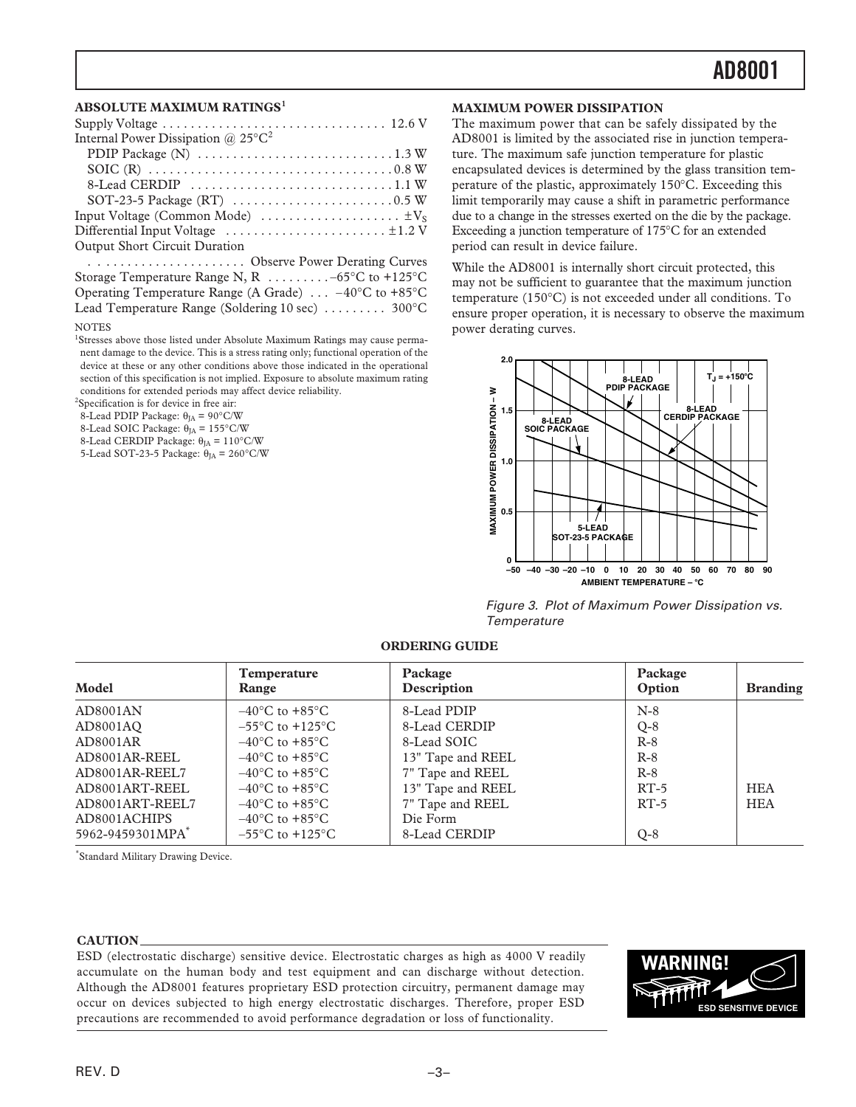### **ABSOLUTE MAXIMUM RATINGS<sup>1</sup>**

| Internal Power Dissipation @ $25^{\circ}C^2$                                              |
|-------------------------------------------------------------------------------------------|
|                                                                                           |
|                                                                                           |
|                                                                                           |
|                                                                                           |
| Input Voltage (Common Mode) $\dots \dots \dots \dots \dots \dots \dots \dots$             |
| Differential Input Voltage $\dots\dots\dots\dots\dots\dots\dots\dots\dots\dots\dots\dots$ |
| Output Short Circuit Duration                                                             |

. . . . . . . . . . . . . . . . . . . . . . Observe Power Derating Curves Storage Temperature Range N, R . . . . . . . . . –65°C to +125°C Operating Temperature Range (A Grade) . . . –40°C to +85°C Lead Temperature Range (Soldering 10 sec) . . . . . . . . . 300°C

#### NOTES

<sup>1</sup>Stresses above those listed under Absolute Maximum Ratings may cause permanent damage to the device. This is a stress rating only; functional operation of the device at these or any other conditions above those indicated in the operational section of this specification is not implied. Exposure to absolute maximum rating conditions for extended periods may affect device reliability.

2 Specification is for device in free air:

8-Lead PDIP Package:  $\theta_{JA} = 90^{\circ}$ C/W

- 8-Lead SOIC Package:  $\dot{\theta}_{IA} = 155^{\circ}$ C/W
- 8-Lead CERDIP Package:  $θ<sub>JA</sub> = 110°C/W$ 5-Lead SOT-23-5 Package:  $\theta_{IA} = 260^{\circ}$ C/W

### **MAXIMUM POWER DISSIPATION**

The maximum power that can be safely dissipated by the AD8001 is limited by the associated rise in junction temperature. The maximum safe junction temperature for plastic encapsulated devices is determined by the glass transition temperature of the plastic, approximately 150°C. Exceeding this limit temporarily may cause a shift in parametric performance due to a change in the stresses exerted on the die by the package. Exceeding a junction temperature of 175°C for an extended period can result in device failure.

While the AD8001 is internally short circuit protected, this may not be sufficient to guarantee that the maximum junction temperature (150°C) is not exceeded under all conditions. To ensure proper operation, it is necessary to observe the maximum power derating curves.



Figure 3. Plot of Maximum Power Dissipation vs. **Temperature** 

### **ORDERING GUIDE**

| Model                        | <b>Temperature</b><br>Range         | Package<br>Description | Package<br>Option | <b>Branding</b> |
|------------------------------|-------------------------------------|------------------------|-------------------|-----------------|
| AD8001AN                     | $-40^{\circ}$ C to $+85^{\circ}$ C  | 8-Lead PDIP            | $N-8$             |                 |
| AD8001AO                     | $-55^{\circ}$ C to $+125^{\circ}$ C | 8-Lead CERDIP          | $Q-8$             |                 |
| AD8001AR                     | $-40^{\circ}$ C to $+85^{\circ}$ C  | 8-Lead SOIC            | $R-8$             |                 |
| AD8001AR-REEL                | $-40^{\circ}$ C to $+85^{\circ}$ C  | 13" Tape and REEL      | $R-8$             |                 |
| AD8001AR-REEL7               | $-40^{\circ}$ C to $+85^{\circ}$ C  | 7" Tape and REEL       | $R-8$             |                 |
| AD8001ART-REEL               | $-40^{\circ}$ C to $+85^{\circ}$ C  | 13" Tape and REEL      | $RT-5$            | <b>HEA</b>      |
| AD8001ART-REEL7              | $-40^{\circ}$ C to $+85^{\circ}$ C  | 7" Tape and REEL       | $RT-5$            | <b>HEA</b>      |
| AD8001ACHIPS                 | $-40^{\circ}$ C to $+85^{\circ}$ C  | Die Form               |                   |                 |
| 5962-9459301MPA <sup>*</sup> | $-55^{\circ}$ C to $+125^{\circ}$ C | 8-Lead CERDIP          | $Q-8$             |                 |

\* Standard Military Drawing Device.

#### **CAUTION**

ESD (electrostatic discharge) sensitive device. Electrostatic charges as high as 4000 V readily accumulate on the human body and test equipment and can discharge without detection. Although the AD8001 features proprietary ESD protection circuitry, permanent damage may occur on devices subjected to high energy electrostatic discharges. Therefore, proper ESD precautions are recommended to avoid performance degradation or loss of functionality.

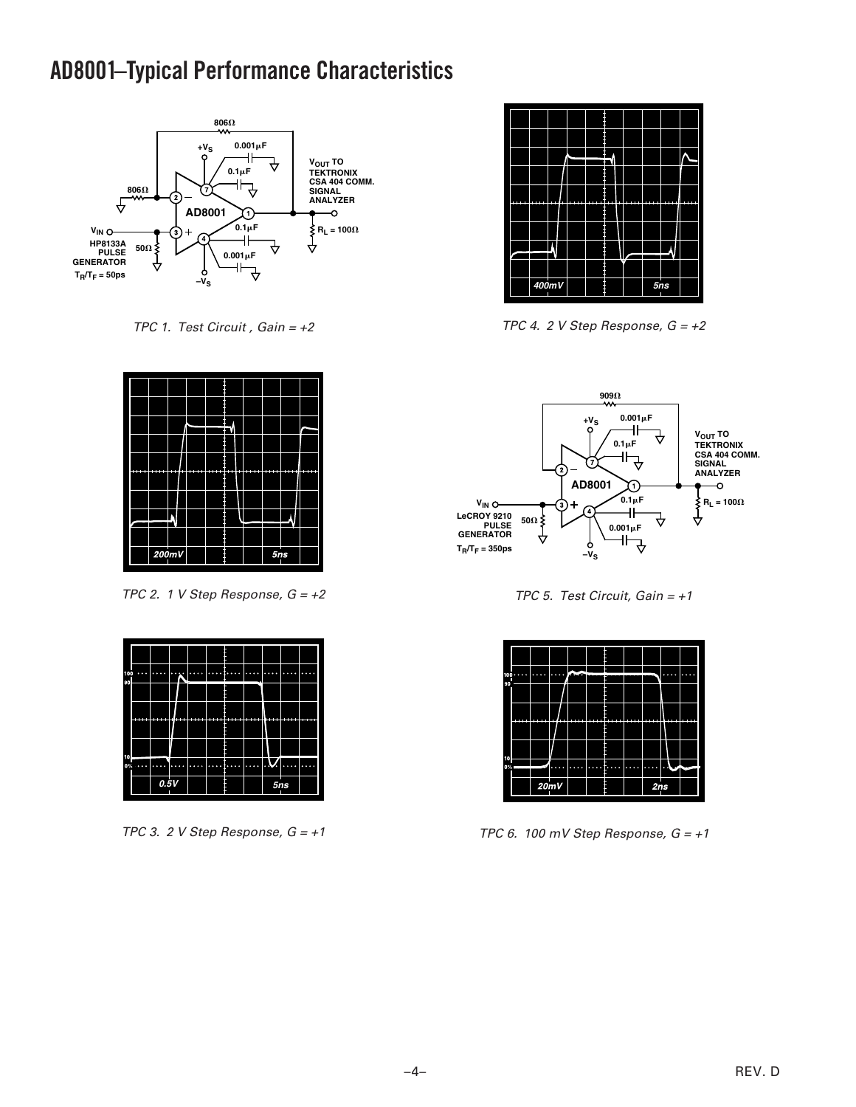## **AD8001 –Typical Performance Characteristics**



TPC 1. Test Circuit, Gain =  $+2$ 



TPC 2. 1 V Step Response,  $G = +2$ 

| 100 |                     | n<br>$\sim$ | п |  | ×<br>$^{\circ}$<br>۰ | $^{\circ}$<br>$\sim$ | ۰<br>×<br>٠<br>٠ | ۰<br>÷<br>٠ |  |
|-----|---------------------|-------------|---|--|----------------------|----------------------|------------------|-------------|--|
| 90  |                     |             |   |  |                      |                      |                  |             |  |
|     |                     |             |   |  |                      |                      |                  |             |  |
|     |                     |             |   |  |                      |                      |                  |             |  |
| 10  |                     |             |   |  |                      |                      |                  |             |  |
| 0%  | ٠<br>$\bullet$<br>٠ |             |   |  |                      | ٠<br>п<br>×<br>٠     | v.<br>ò.         |             |  |
|     |                     | 0.5V        |   |  |                      |                      |                  | 5ns         |  |

TPC 3. 2 V Step Response,  $G = +1$ 



TPC 4. 2 V Step Response,  $G = +2$ 



TPC 5. Test Circuit, Gain =  $+1$ 

| 90         | $100 \cdots$ | 0.0.0.0 | 0.000 | <b>COLLECT</b> |           |            |          |                                                      | $\bullet$ $\bullet$ | $\overline{\phantom{a}}$ |
|------------|--------------|---------|-------|----------------|-----------|------------|----------|------------------------------------------------------|---------------------|--------------------------|
|            |              |         |       |                |           |            |          |                                                      |                     |                          |
|            |              |         |       | ----           |           |            |          |                                                      |                     |                          |
|            |              |         |       |                |           |            |          |                                                      |                     |                          |
| 10<br>0% = |              |         | 0.000 | 0.0.0.0        | ۰.<br>000 | 0.00<br>٠. | 000<br>œ | ×<br>$\bullet$ $\bullet$<br>$\overline{\phantom{a}}$ | ساده                |                          |
|            |              |         | 20mV  |                |           |            |          | 2ns                                                  |                     |                          |

TPC 6. 100 mV Step Response,  $G = +1$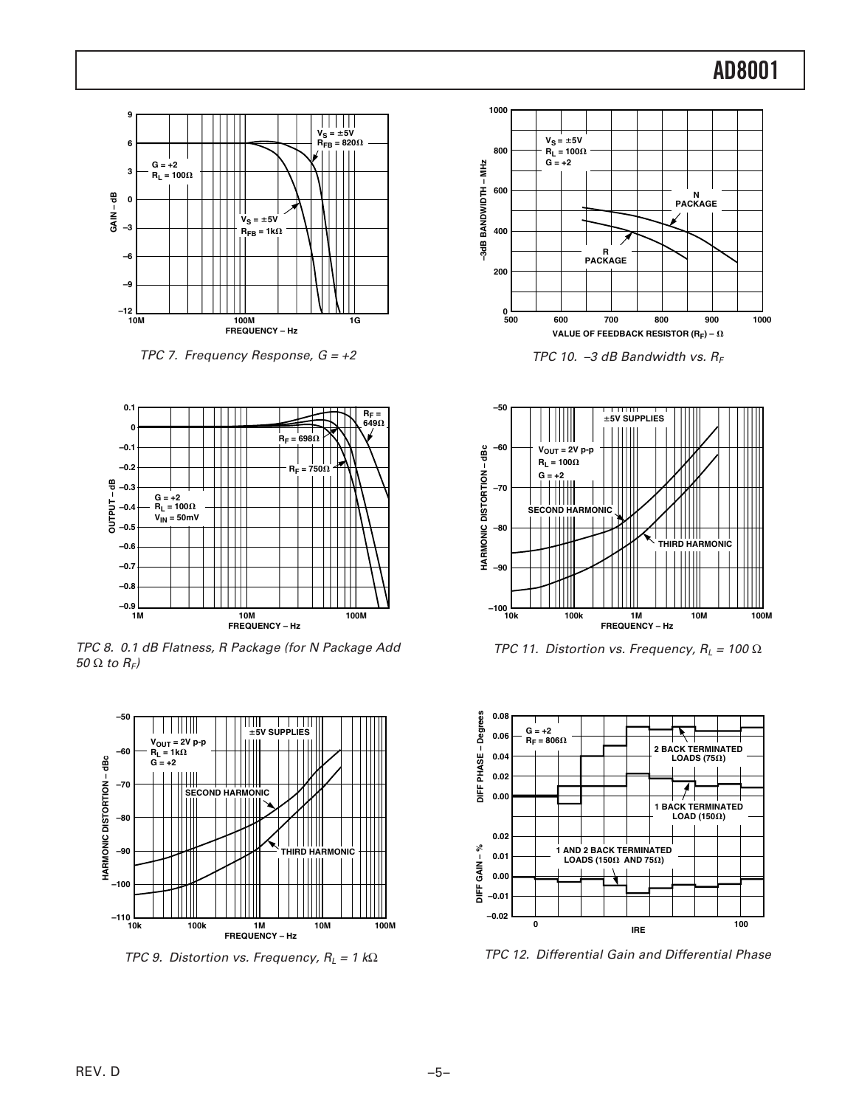

TPC 7. Frequency Response,  $G = +2$ 



TPC 8. 0.1 dB Flatness, R Package (for N Package Add 50  $\Omega$  to  $R_F$ )



TPC 9. Distortion vs. Frequency,  $R_L = 1$  k $\Omega$ 



TPC 10. -3 dB Bandwidth vs.  $R_F$ 



TPC 11. Distortion vs. Frequency,  $R_L = 100 \Omega$ 



TPC 12. Differential Gain and Differential Phase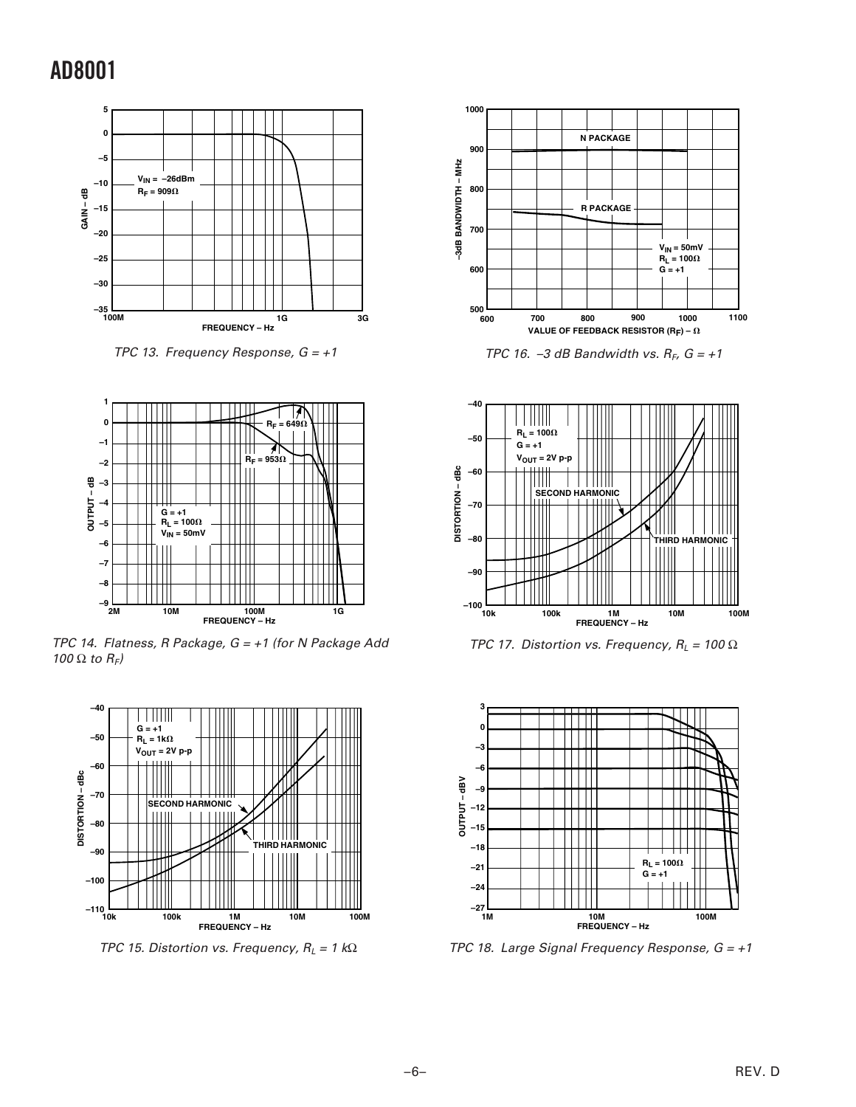

TPC 13. Frequency Response,  $G = +1$ 



TPC 14. Flatness, R Package,  $G = +1$  (for N Package Add 100  $\Omega$  to  $R_F$ )



TPC 15. Distortion vs. Frequency,  $R_L = 1$  k $\Omega$ 



TPC 16. -3 dB Bandwidth vs.  $R_F$ ,  $G = +1$ 



TPC 17. Distortion vs. Frequency,  $R_L = 100 \Omega$ 



TPC 18. Large Signal Frequency Response,  $G = +1$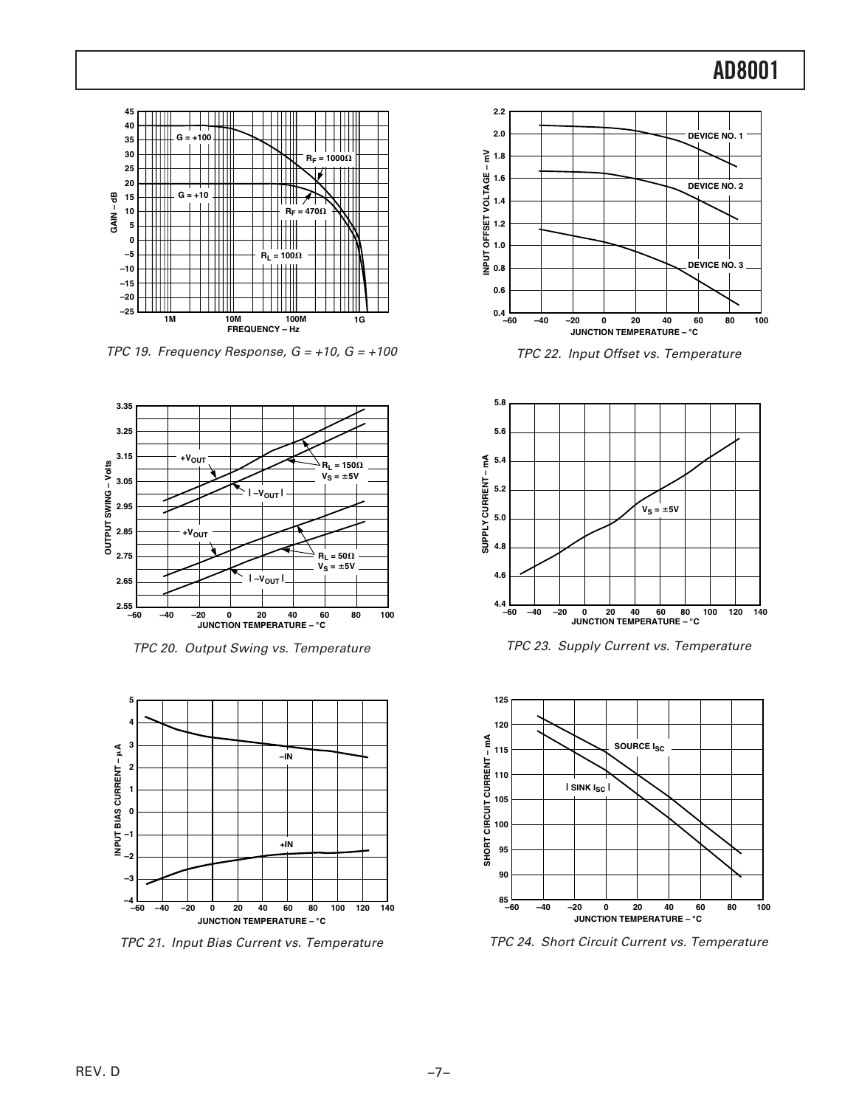

TPC 19. Frequency Response,  $G = +10$ ,  $G = +100$ 



TPC 20. Output Swing vs. Temperature



TPC 21. Input Bias Current vs. Temperature



TPC 22. Input Offset vs. Temperature



TPC 23. Supply Current vs. Temperature



TPC 24. Short Circuit Current vs. Temperature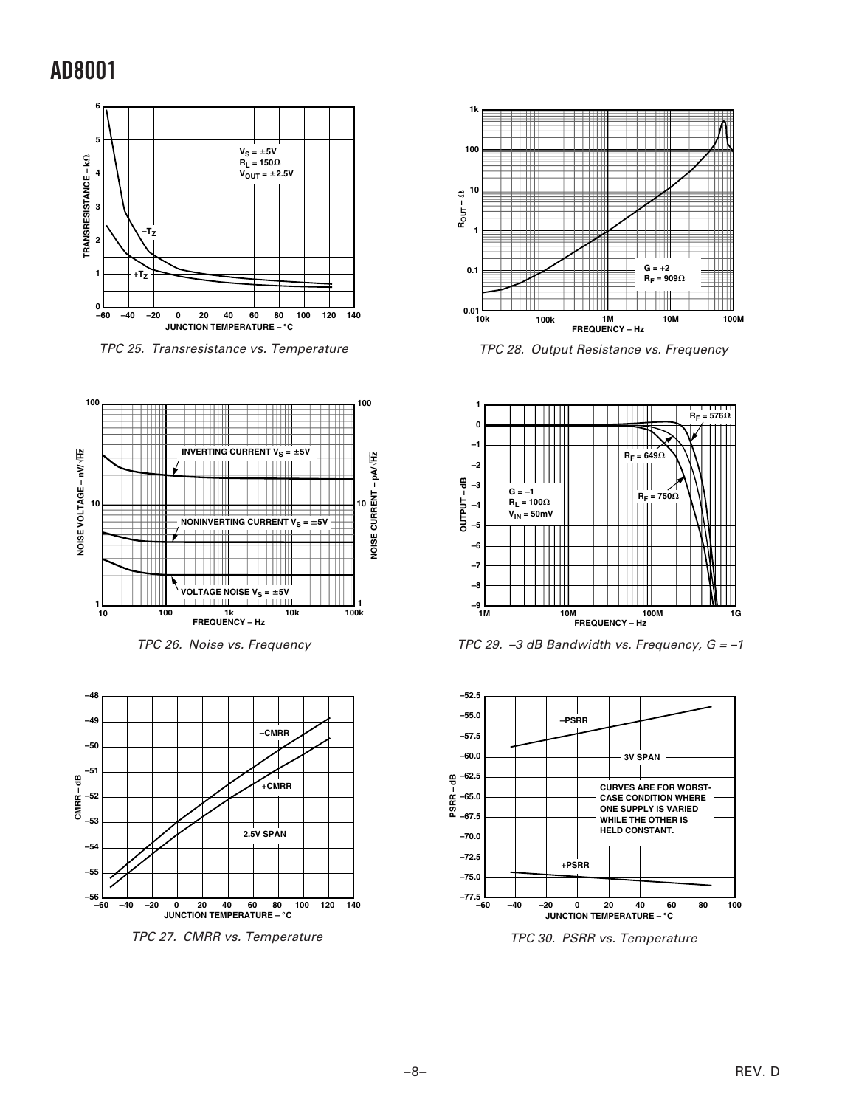

TPC 25. Transresistance vs. Temperature







TPC 27. CMRR vs. Temperature



TPC 28. Output Resistance vs. Frequency



TPC 29. -3 dB Bandwidth vs. Frequency,  $G = -1$ 



TPC 30. PSRR vs. Temperature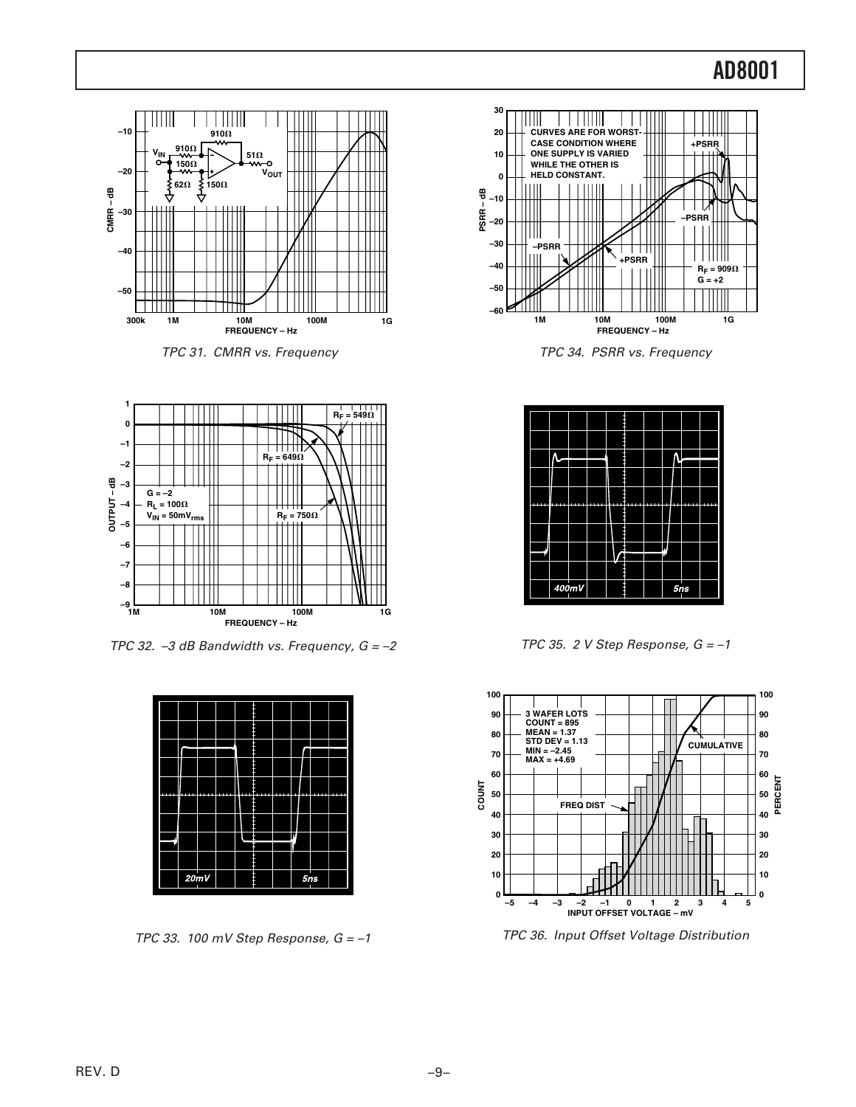

TPC 31. CMRR vs. Frequency



TPC 32.  $-3$  dB Bandwidth vs. Frequency,  $G = -2$ 



TPC 33. 100 mV Step Response,  $G = -1$ 



TPC 34. PSRR vs. Frequency

|  |          |  |  |  | ŗ   |  |
|--|----------|--|--|--|-----|--|
|  |          |  |  |  |     |  |
|  |          |  |  |  |     |  |
|  |          |  |  |  |     |  |
|  | $400$ mV |  |  |  | 5ns |  |

TPC 35. 2 V Step Response,  $G = -1$ 



TPC 36. Input Offset Voltage Distribution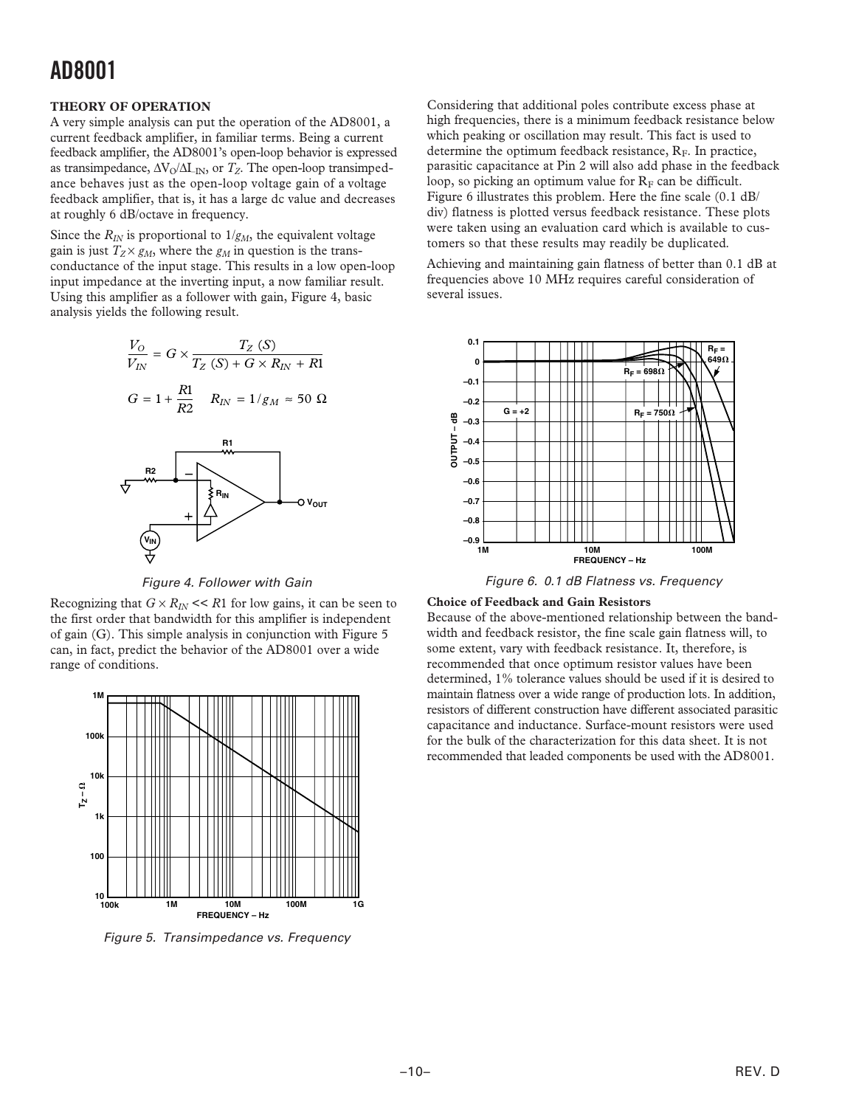### **THEORY OF OPERATION**

A very simple analysis can put the operation of the AD8001, a current feedback amplifier, in familiar terms. Being a current feedback amplifier, the AD8001's open-loop behavior is expressed as transimpedance,  $\Delta V_0 / \Delta L_{IN}$ , or  $T_Z$ . The open-loop transimpedance behaves just as the open-loop voltage gain of a voltage feedback amplifier, that is, it has a large dc value and decreases at roughly 6 dB/octave in frequency.

Since the  $R_{IN}$  is proportional to  $1/g_M$ , the equivalent voltage gain is just  $T_Z \times g_M$ , where the  $g_M$  in question is the transconductance of the input stage. This results in a low open-loop input impedance at the inverting input, a now familiar result. Using this amplifier as a follower with gain, Figure 4, basic analysis yields the following result.





Figure 4. Follower with Gain

Recognizing that  $G \times R_N \ll R1$  for low gains, it can be seen to the first order that bandwidth for this amplifier is independent of gain (G). This simple analysis in conjunction with Figure 5 can, in fact, predict the behavior of the AD8001 over a wide range of conditions.



Figure 5. Transimpedance vs. Frequency

Considering that additional poles contribute excess phase at high frequencies, there is a minimum feedback resistance below which peaking or oscillation may result. This fact is used to determine the optimum feedback resistance,  $R<sub>F</sub>$ . In practice, parasitic capacitance at Pin 2 will also add phase in the feedback loop, so picking an optimum value for  $R<sub>F</sub>$  can be difficult. Figure 6 illustrates this problem. Here the fine scale (0.1 dB/ div) flatness is plotted versus feedback resistance. These plots were taken using an evaluation card which is available to customers so that these results may readily be duplicated.

Achieving and maintaining gain flatness of better than 0.1 dB at frequencies above 10 MHz requires careful consideration of several issues.



Figure 6. 0.1 dB Flatness vs. Frequency

## **Choice of Feedback and Gain Resistors**

Because of the above-mentioned relationship between the bandwidth and feedback resistor, the fine scale gain flatness will, to some extent, vary with feedback resistance. It, therefore, is recommended that once optimum resistor values have been determined, 1% tolerance values should be used if it is desired to maintain flatness over a wide range of production lots. In addition, resistors of different construction have different associated parasitic capacitance and inductance. Surface-mount resistors were used for the bulk of the characterization for this data sheet. It is not recommended that leaded components be used with the AD8001.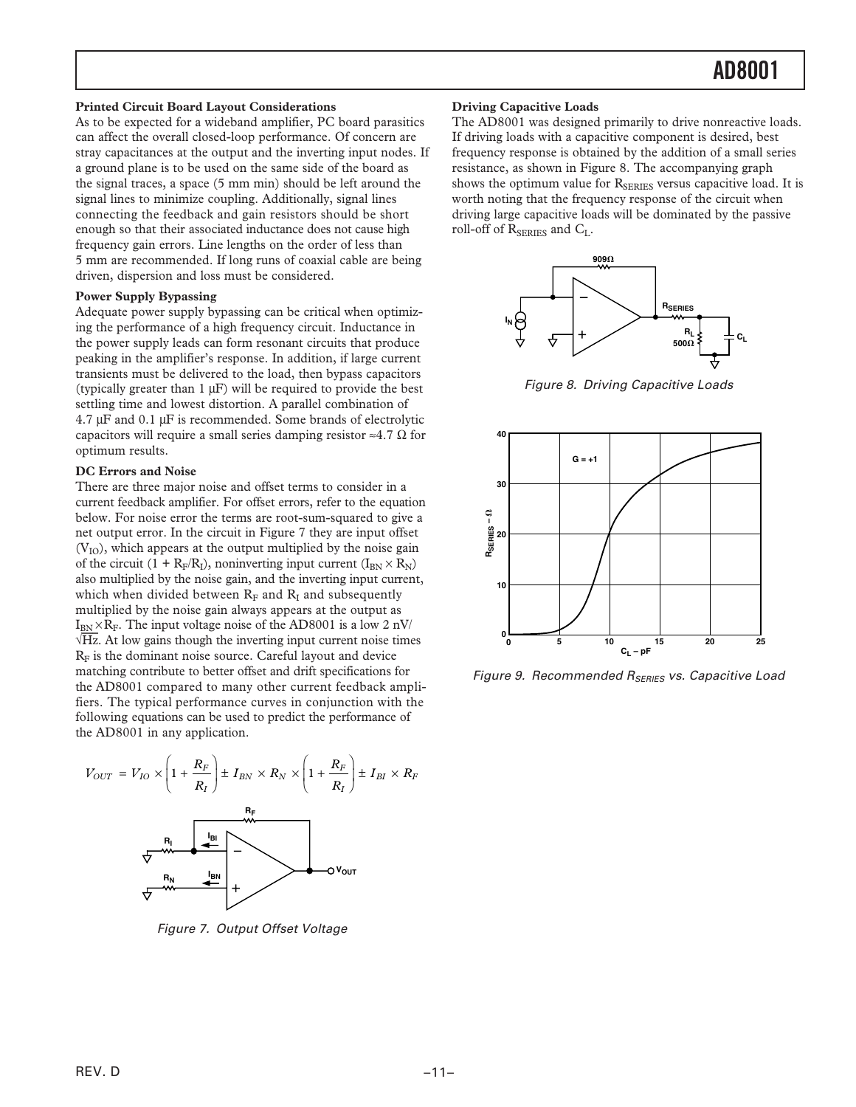### **Printed Circuit Board Layout Considerations**

As to be expected for a wideband amplifier, PC board parasitics can affect the overall closed-loop performance. Of concern are stray capacitances at the output and the inverting input nodes. If a ground plane is to be used on the same side of the board as the signal traces, a space (5 mm min) should be left around the signal lines to minimize coupling. Additionally, signal lines connecting the feedback and gain resistors should be short enough so that their associated inductance does not cause high frequency gain errors. Line lengths on the order of less than 5 mm are recommended. If long runs of coaxial cable are being driven, dispersion and loss must be considered.

### **Power Supply Bypassing**

Adequate power supply bypassing can be critical when optimizing the performance of a high frequency circuit. Inductance in the power supply leads can form resonant circuits that produce peaking in the amplifier's response. In addition, if large current transients must be delivered to the load, then bypass capacitors (typically greater than 1 µF) will be required to provide the best settling time and lowest distortion. A parallel combination of 4.7 µF and 0.1 µF is recommended. Some brands of electrolytic capacitors will require a small series damping resistor  $\approx 4.7 \Omega$  for optimum results.

### **DC Errors and Noise**

There are three major noise and offset terms to consider in a current feedback amplifier. For offset errors, refer to the equation below. For noise error the terms are root-sum-squared to give a net output error. In the circuit in Figure 7 they are input offset  $(V<sub>IO</sub>)$ , which appears at the output multiplied by the noise gain of the circuit  $(1 + R_F/R_I)$ , noninverting input current  $(I_{BN} \times R_N)$ also multiplied by the noise gain, and the inverting input current, which when divided between  $R<sub>F</sub>$  and  $R<sub>I</sub>$  and subsequently multiplied by the noise gain always appears at the output as  $I_{BN} \times R_F$ . The input voltage noise of the AD8001 is a low 2 nV/ √*Hz*. At low gains though the inverting input current noise times  $R<sub>F</sub>$  is the dominant noise source. Careful layout and device matching contribute to better offset and drift specifications for the AD8001 compared to many other current feedback amplifiers. The typical performance curves in conjunction with the following equations can be used to predict the performance of the AD8001 in any application.



Figure 7. Output Offset Voltage

#### **Driving Capacitive Loads**

The AD8001 was designed primarily to drive nonreactive loads. If driving loads with a capacitive component is desired, best frequency response is obtained by the addition of a small series resistance, as shown in Figure 8. The accompanying graph shows the optimum value for  $R_{\text{SERIES}}$  versus capacitive load. It is worth noting that the frequency response of the circuit when driving large capacitive loads will be dominated by the passive roll-off of  $R_{\text{SERIES}}$  and  $C_L$ .



Figure 8. Driving Capacitive Loads



Figure 9. Recommended R<sub>SERIES</sub> vs. Capacitive Load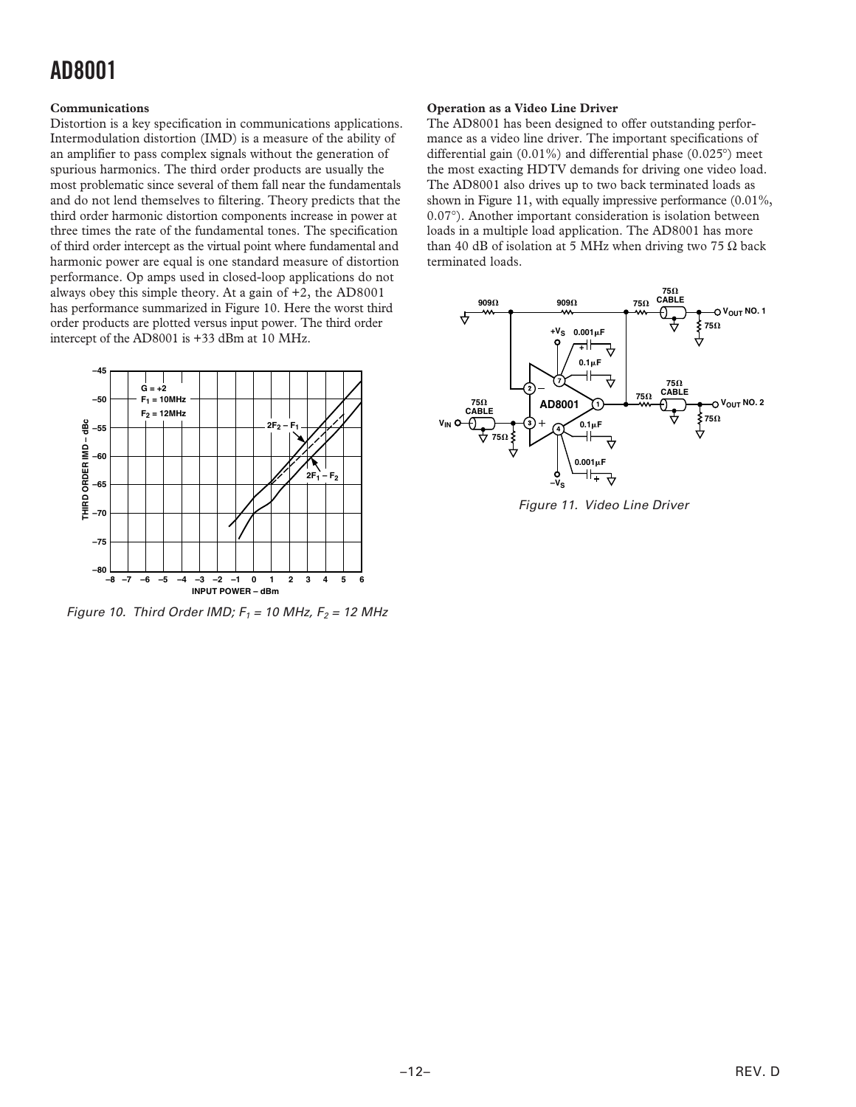## **Communications**

Distortion is a key specification in communications applications. Intermodulation distortion (IMD) is a measure of the ability of an amplifier to pass complex signals without the generation of spurious harmonics. The third order products are usually the most problematic since several of them fall near the fundamentals and do not lend themselves to filtering. Theory predicts that the third order harmonic distortion components increase in power at three times the rate of the fundamental tones. The specification of third order intercept as the virtual point where fundamental and harmonic power are equal is one standard measure of distortion performance. Op amps used in closed-loop applications do not always obey this simple theory. At a gain of +2, the AD8001 has performance summarized in Figure 10. Here the worst third order products are plotted versus input power. The third order intercept of the AD8001 is +33 dBm at 10 MHz.



Figure 10. Third Order IMD;  $F_1 = 10$  MHz,  $F_2 = 12$  MHz

## **Operation as a Video Line Driver**

The AD8001 has been designed to offer outstanding performance as a video line driver. The important specifications of differential gain (0.01%) and differential phase (0.025°) meet the most exacting HDTV demands for driving one video load. The AD8001 also drives up to two back terminated loads as shown in Figure 11, with equally impressive performance (0.01%, 0.07°). Another important consideration is isolation between loads in a multiple load application. The AD8001 has more than 40 dB of isolation at 5 MHz when driving two 75  $Ω$  back terminated loads.



Figure 11. Video Line Driver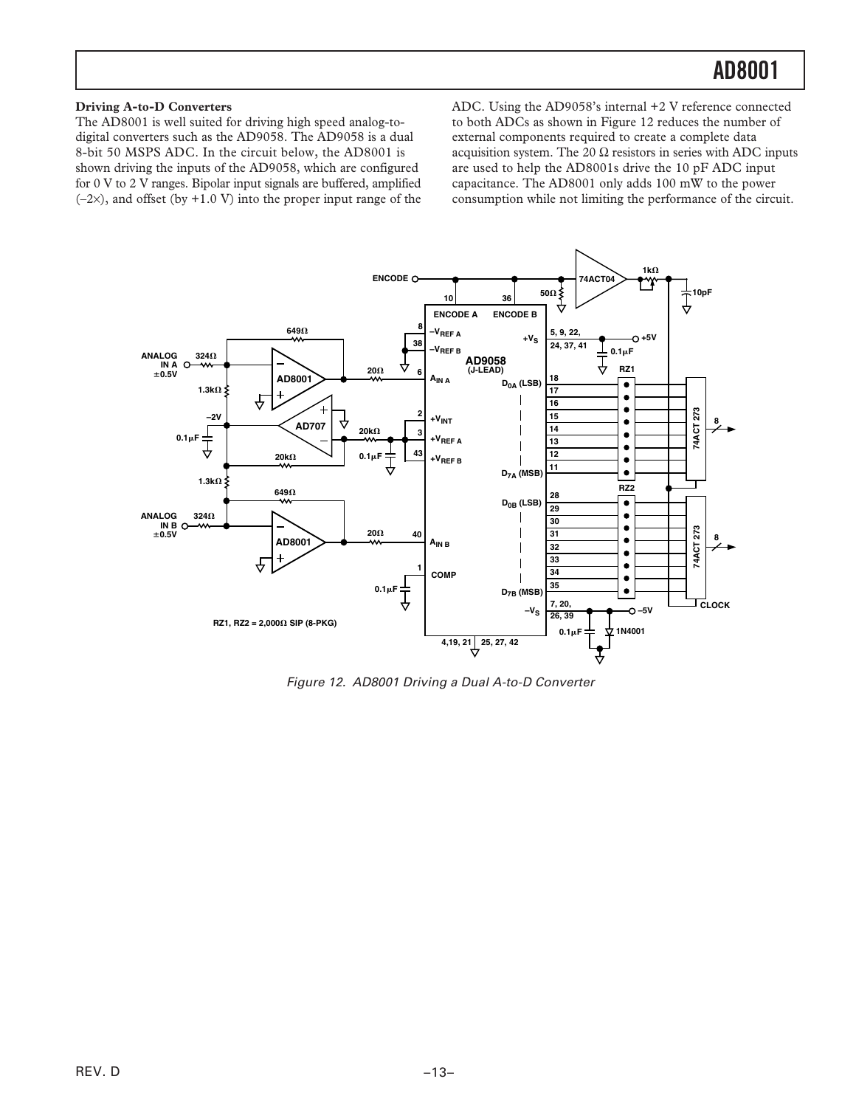## **Driving A-to-D Converters**

The AD8001 is well suited for driving high speed analog-todigital converters such as the AD9058. The AD9058 is a dual 8-bit 50 MSPS ADC. In the circuit below, the AD8001 is shown driving the inputs of the AD9058, which are configured for 0 V to 2 V ranges. Bipolar input signals are buffered, amplified  $(-2x)$ , and offset (by  $+1.0$  V) into the proper input range of the ADC. Using the AD9058's internal +2 V reference connected to both ADCs as shown in Figure 12 reduces the number of external components required to create a complete data acquisition system. The 20  $\Omega$  resistors in series with ADC inputs are used to help the AD8001s drive the 10 pF ADC input capacitance. The AD8001 only adds 100 mW to the power consumption while not limiting the performance of the circuit.



Figure 12. AD8001 Driving a Dual A-to-D Converter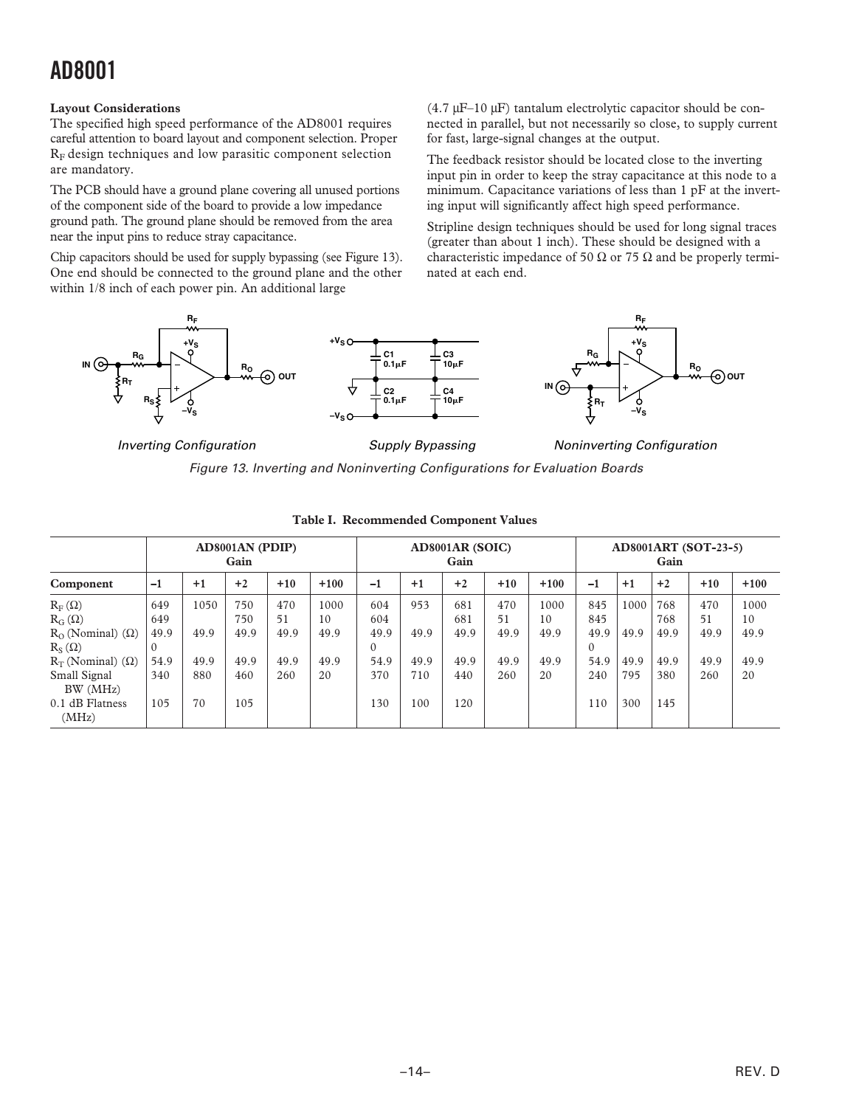## **Layout Considerations**

The specified high speed performance of the AD8001 requires careful attention to board layout and component selection. Proper  $R_F$  design techniques and low parasitic component selection are mandatory.

The PCB should have a ground plane covering all unused portions of the component side of the board to provide a low impedance ground path. The ground plane should be removed from the area near the input pins to reduce stray capacitance.

Chip capacitors should be used for supply bypassing (see Figure 13). One end should be connected to the ground plane and the other within 1/8 inch of each power pin. An additional large

(4.7 µF–10 µF) tantalum electrolytic capacitor should be connected in parallel, but not necessarily so close, to supply current for fast, large-signal changes at the output.

The feedback resistor should be located close to the inverting input pin in order to keep the stray capacitance at this node to a minimum. Capacitance variations of less than 1 pF at the inverting input will significantly affect high speed performance.

Stripline design techniques should be used for long signal traces (greater than about 1 inch). These should be designed with a characteristic impedance of 50  $\Omega$  or 75  $\Omega$  and be properly terminated at each end.



*Inverting Configuration Supply Bypassing*

*Noninverting Configuration*

Figure 13. Inverting and Noninverting Configurations for Evaluation Boards

|                              | AD8001AN (PDIP)<br>Gain |      |      |       |        | <b>AD8001AR (SOIC)</b><br>Gain |      |      |       |        | <b>AD8001ART (SOT-23-5)</b><br>Gain |      |      |       |        |
|------------------------------|-------------------------|------|------|-------|--------|--------------------------------|------|------|-------|--------|-------------------------------------|------|------|-------|--------|
| Component                    | $-1$                    | $+1$ | $+2$ | $+10$ | $+100$ | $-1$                           | $+1$ | $+2$ | $+10$ | $+100$ | $-1$                                | $+1$ | $+2$ | $+10$ | $+100$ |
| $R_F(\Omega)$                | 649                     | 1050 | 750  | 470   | 1000   | 604                            | 953  | 681  | 470   | 1000   | 845                                 | 1000 | 768  | 470   | 1000   |
| $R_G(\Omega)$                | 649                     |      | 750  | 51    | 10     | 604                            |      | 681  | 51    | 10     | 845                                 |      | 768  | 51    | 10     |
| $R_0$ (Nominal) ( $\Omega$ ) | 49.9                    | 49.9 | 49.9 | 49.9  | 49.9   | 49.9                           | 49.9 | 49.9 | 49.9  | 49.9   | 49.9                                | 49.9 | 49.9 | 49.9  | 49.9   |
| $R_S(\Omega)$                | $\Omega$                |      |      |       |        | $\Omega$                       |      |      |       |        | $\Omega$                            |      |      |       |        |
| $R_T$ (Nominal) ( $\Omega$ ) | 54.9                    | 49.9 | 49.9 | 49.9  | 49.9   | 54.9                           | 49.9 | 49.9 | 49.9  | 49.9   | 54.9                                | 49.9 | 49.9 | 49.9  | 49.9   |
| Small Signal                 | 340                     | 880  | 460  | 260   | 20     | 370                            | 710  | 440  | 260   | 20     | 240                                 | 795  | 380  | 260   | 20     |
| BW (MHz)                     |                         |      |      |       |        |                                |      |      |       |        |                                     |      |      |       |        |
| 0.1 dB Flatness<br>(MHz)     | 105                     | 70   | 105  |       |        | 130                            | 100  | 120  |       |        | 110                                 | 300  | 145  |       |        |

### **Table I. Recommended Component Values**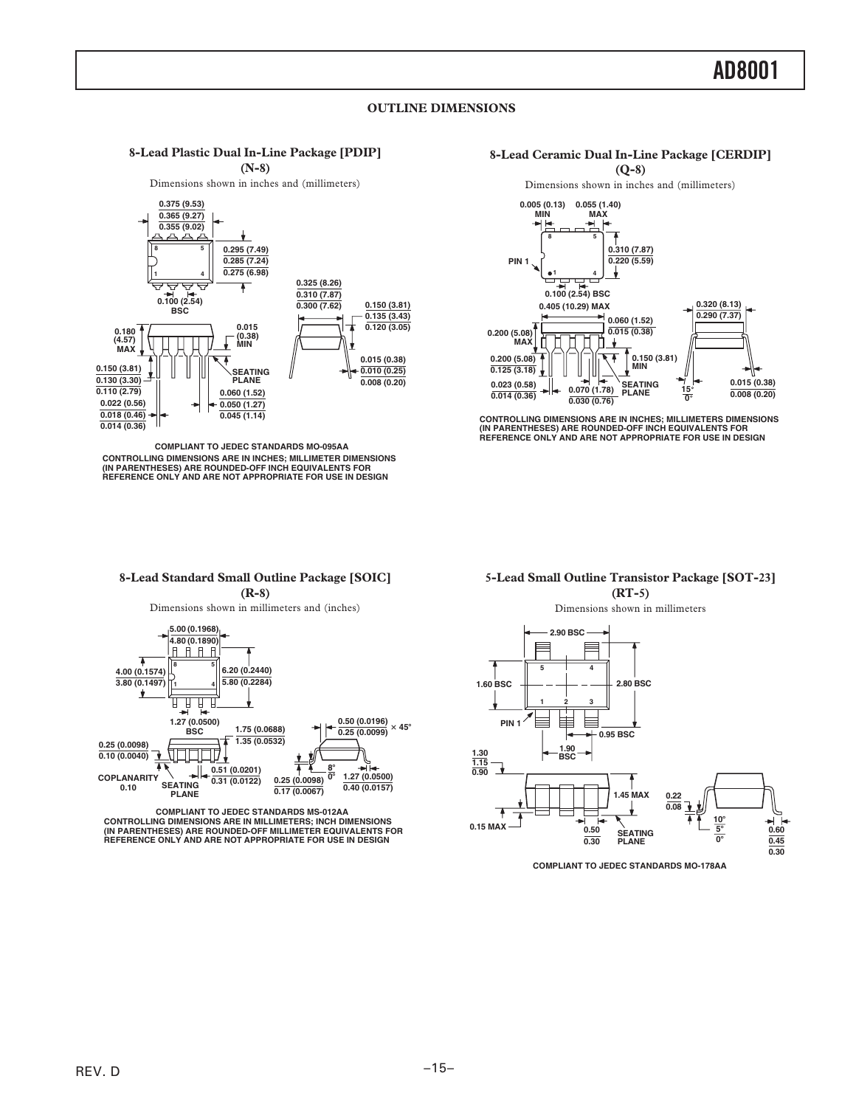## **OUTLINE DIMENSIONS**

#### **8-Lead Plastic Dual In-Line Package [PDIP] (N-8)**

Dimensions shown in inches and (millimeters)



**CONTROLLING DIMENSIONS ARE IN INCHES; MILLIMETER DIMENSIONS (IN PARENTHESES) ARE ROUNDED-OFF INCH EQUIVALENTS FOR REFERENCE ONLY AND ARE NOT APPROPRIATE FOR USE IN DESIGN COMPLIANT TO JEDEC STANDARDS MO-095AA**



Dimensions shown in inches and (millimeters)



CONTROLLING DIMENSIONS ARE IN INCHES; MILLIMETERS DIMENSIONS<br>(IN PARENTHESES) ARE ROUNDED-OFF INCH EQUIVALENTS FOR<br>REFERENCE ONLY AND ARE NOT APPROPRIATE FOR USE IN DESIGN

#### **5-Lead Small Outline Transistor Package [SOT-23] (RT-5)**

#### **8-Lead Standard Small Outline Package [SOIC] (R-8)**

Dimensions shown in millimeters and (inches)



**CONTROLLING DIMENSIONS ARE IN MILLIMETERS; INCH DIMENSIONS (IN PARENTHESES) ARE ROUNDED-OFF MILLIMETER EQUIVALENTS FOR REFERENCE ONLY AND ARE NOT APPROPRIATE FOR USE IN DESIGN COMPLIANT TO JEDEC STANDARDS MS-012AA**

Dimensions shown in millimeters



**COMPLIANT TO JEDEC STANDARDS MO-178AA**